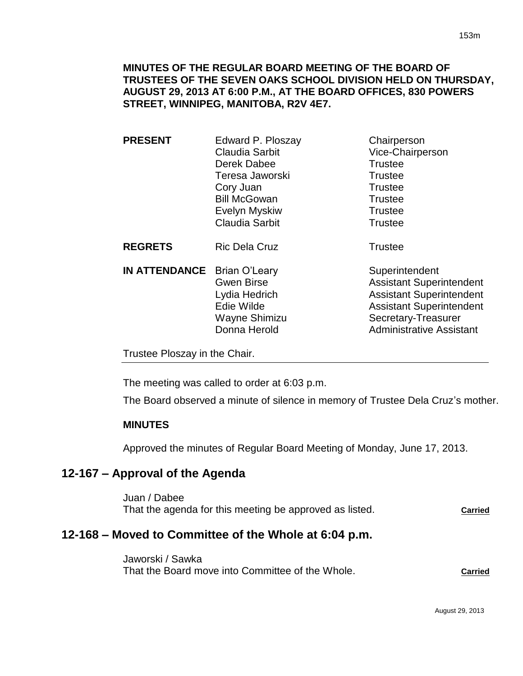## **MINUTES OF THE REGULAR BOARD MEETING OF THE BOARD OF TRUSTEES OF THE SEVEN OAKS SCHOOL DIVISION HELD ON THURSDAY, AUGUST 29, 2013 AT 6:00 P.M., AT THE BOARD OFFICES, 830 POWERS STREET, WINNIPEG, MANITOBA, R2V 4E7.**

| <b>PRESENT</b> | Edward P. Ploszay     | Chairperson      |
|----------------|-----------------------|------------------|
|                | Claudia Sarbit        | Vice-Chairperson |
|                | Derek Dabee           | <b>Trustee</b>   |
|                | Teresa Jaworski       | <b>Trustee</b>   |
|                | Cory Juan             | <b>Trustee</b>   |
|                | <b>Bill McGowan</b>   | <b>Trustee</b>   |
|                | <b>Evelyn Myskiw</b>  | <b>Trustee</b>   |
|                | <b>Claudia Sarbit</b> | <b>Trustee</b>   |
| <b>REGRETS</b> | <b>Ric Dela Cruz</b>  | <b>Trustee</b>   |

**IN ATTENDANCE** Brian O'Leary Superintendent

Gwen Birse **Assistant Superintendent** Lydia Hedrich **Assistant Superintendent** Edie Wilde **Assistant Superintendent** 

Wayne Shimizu Secretary-Treasurer Donna Herold **Administrative Assistant** 

Trustee Ploszay in the Chair.

The meeting was called to order at 6:03 p.m.

The Board observed a minute of silence in memory of Trustee Dela Cruz's mother.

## **MINUTES**

Approved the minutes of Regular Board Meeting of Monday, June 17, 2013.

# **12-167 – Approval of the Agenda**

Juan / Dabee That the agenda for this meeting be approved as listed. **Carried**

# **12-168 – Moved to Committee of the Whole at 6:04 p.m.**

Jaworski / Sawka That the Board move into Committee of the Whole. **Carried**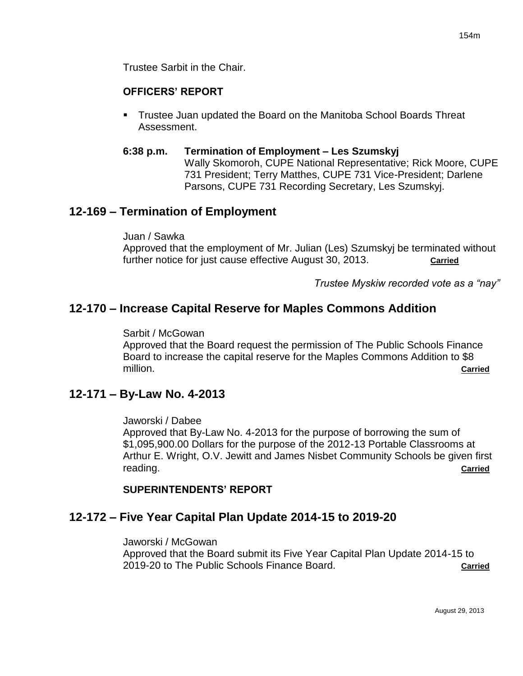Trustee Sarbit in the Chair.

## **OFFICERS' REPORT**

 Trustee Juan updated the Board on the Manitoba School Boards Threat Assessment.

#### **6:38 p.m. Termination of Employment – Les Szumskyj** Wally Skomoroh, CUPE National Representative; Rick Moore, CUPE 731 President; Terry Matthes, CUPE 731 Vice-President; Darlene Parsons, CUPE 731 Recording Secretary, Les Szumskyj.

# **12-169 – Termination of Employment**

Juan / Sawka

Approved that the employment of Mr. Julian (Les) Szumskyj be terminated without further notice for just cause effective August 30, 2013. **Carried**

*Trustee Myskiw recorded vote as a "nay"* 

# **12-170 – Increase Capital Reserve for Maples Commons Addition**

Sarbit / McGowan

Approved that the Board request the permission of The Public Schools Finance Board to increase the capital reserve for the Maples Commons Addition to \$8 million. **Carried**

# **12-171 – By-Law No. 4-2013**

Jaworski / Dabee

Approved that By-Law No. 4-2013 for the purpose of borrowing the sum of \$1,095,900.00 Dollars for the purpose of the 2012-13 Portable Classrooms at Arthur E. Wright, O.V. Jewitt and James Nisbet Community Schools be given first reading. **Carried**

# **SUPERINTENDENTS' REPORT**

# **12-172 – Five Year Capital Plan Update 2014-15 to 2019-20**

Jaworski / McGowan Approved that the Board submit its Five Year Capital Plan Update 2014-15 to 2019-20 to The Public Schools Finance Board. **Carried**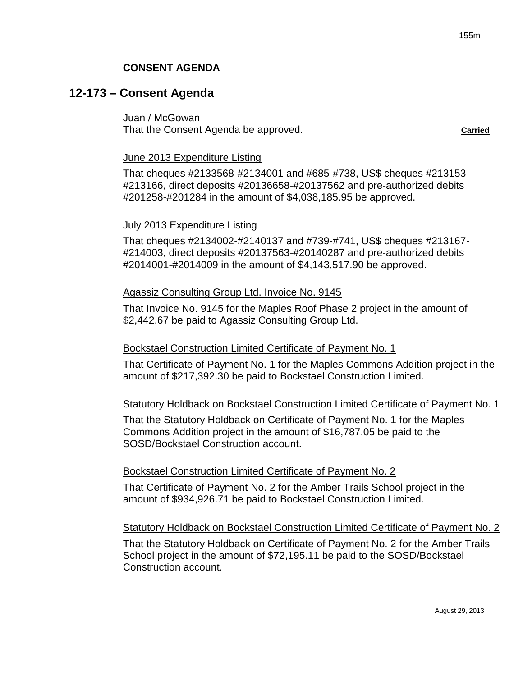## **12-173 – Consent Agenda**

Juan / McGowan That the Consent Agenda be approved. **Carried** carried

#### June 2013 Expenditure Listing

That cheques #2133568-#2134001 and #685-#738, US\$ cheques #213153- #213166, direct deposits #20136658-#20137562 and pre-authorized debits #201258-#201284 in the amount of \$4,038,185.95 be approved.

#### July 2013 Expenditure Listing

That cheques #2134002-#2140137 and #739-#741, US\$ cheques #213167- #214003, direct deposits #20137563-#20140287 and pre-authorized debits #2014001-#2014009 in the amount of \$4,143,517.90 be approved.

#### Agassiz Consulting Group Ltd. Invoice No. 9145

That Invoice No. 9145 for the Maples Roof Phase 2 project in the amount of \$2,442.67 be paid to Agassiz Consulting Group Ltd.

#### Bockstael Construction Limited Certificate of Payment No. 1

That Certificate of Payment No. 1 for the Maples Commons Addition project in the amount of \$217,392.30 be paid to Bockstael Construction Limited.

#### Statutory Holdback on Bockstael Construction Limited Certificate of Payment No. 1

That the Statutory Holdback on Certificate of Payment No. 1 for the Maples Commons Addition project in the amount of \$16,787.05 be paid to the SOSD/Bockstael Construction account.

#### Bockstael Construction Limited Certificate of Payment No. 2

That Certificate of Payment No. 2 for the Amber Trails School project in the amount of \$934,926.71 be paid to Bockstael Construction Limited.

#### Statutory Holdback on Bockstael Construction Limited Certificate of Payment No. 2

That the Statutory Holdback on Certificate of Payment No. 2 for the Amber Trails School project in the amount of \$72,195.11 be paid to the SOSD/Bockstael Construction account.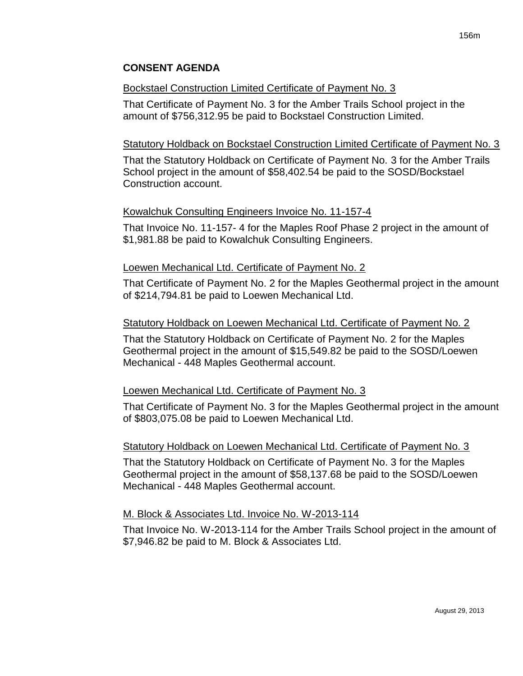#### Bockstael Construction Limited Certificate of Payment No. 3

That Certificate of Payment No. 3 for the Amber Trails School project in the amount of \$756,312.95 be paid to Bockstael Construction Limited.

#### Statutory Holdback on Bockstael Construction Limited Certificate of Payment No. 3

That the Statutory Holdback on Certificate of Payment No. 3 for the Amber Trails School project in the amount of \$58,402.54 be paid to the SOSD/Bockstael Construction account.

#### Kowalchuk Consulting Engineers Invoice No. 11-157-4

That Invoice No. 11-157- 4 for the Maples Roof Phase 2 project in the amount of \$1,981.88 be paid to Kowalchuk Consulting Engineers.

#### Loewen Mechanical Ltd. Certificate of Payment No. 2

That Certificate of Payment No. 2 for the Maples Geothermal project in the amount of \$214,794.81 be paid to Loewen Mechanical Ltd.

#### Statutory Holdback on Loewen Mechanical Ltd. Certificate of Payment No. 2

That the Statutory Holdback on Certificate of Payment No. 2 for the Maples Geothermal project in the amount of \$15,549.82 be paid to the SOSD/Loewen Mechanical - 448 Maples Geothermal account.

## Loewen Mechanical Ltd. Certificate of Payment No. 3

That Certificate of Payment No. 3 for the Maples Geothermal project in the amount of \$803,075.08 be paid to Loewen Mechanical Ltd.

#### Statutory Holdback on Loewen Mechanical Ltd. Certificate of Payment No. 3

That the Statutory Holdback on Certificate of Payment No. 3 for the Maples Geothermal project in the amount of \$58,137.68 be paid to the SOSD/Loewen Mechanical - 448 Maples Geothermal account.

## M. Block & Associates Ltd. Invoice No. W-2013-114

That Invoice No. W-2013-114 for the Amber Trails School project in the amount of \$7,946.82 be paid to M. Block & Associates Ltd.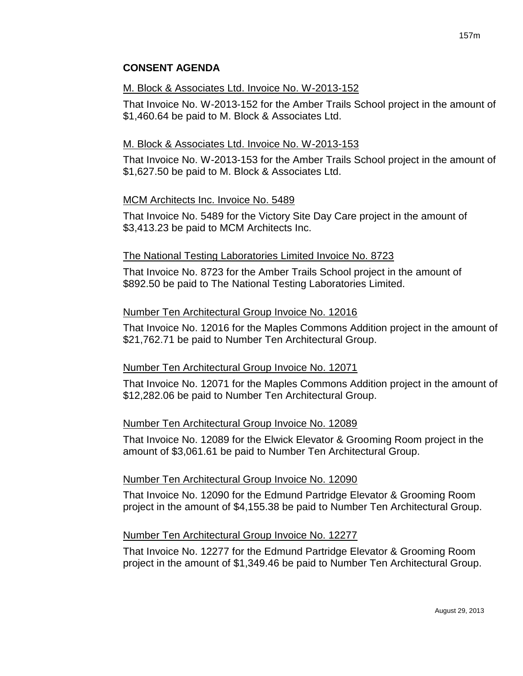#### M. Block & Associates Ltd. Invoice No. W-2013-152

That Invoice No. W-2013-152 for the Amber Trails School project in the amount of \$1,460.64 be paid to M. Block & Associates Ltd.

## M. Block & Associates Ltd. Invoice No. W-2013-153

That Invoice No. W-2013-153 for the Amber Trails School project in the amount of \$1,627.50 be paid to M. Block & Associates Ltd.

## MCM Architects Inc. Invoice No. 5489

That Invoice No. 5489 for the Victory Site Day Care project in the amount of \$3,413.23 be paid to MCM Architects Inc.

## The National Testing Laboratories Limited Invoice No. 8723

That Invoice No. 8723 for the Amber Trails School project in the amount of \$892.50 be paid to The National Testing Laboratories Limited.

## Number Ten Architectural Group Invoice No. 12016

That Invoice No. 12016 for the Maples Commons Addition project in the amount of \$21,762.71 be paid to Number Ten Architectural Group.

## Number Ten Architectural Group Invoice No. 12071

That Invoice No. 12071 for the Maples Commons Addition project in the amount of \$12,282.06 be paid to Number Ten Architectural Group.

## Number Ten Architectural Group Invoice No. 12089

That Invoice No. 12089 for the Elwick Elevator & Grooming Room project in the amount of \$3,061.61 be paid to Number Ten Architectural Group.

## Number Ten Architectural Group Invoice No. 12090

That Invoice No. 12090 for the Edmund Partridge Elevator & Grooming Room project in the amount of \$4,155.38 be paid to Number Ten Architectural Group.

## Number Ten Architectural Group Invoice No. 12277

That Invoice No. 12277 for the Edmund Partridge Elevator & Grooming Room project in the amount of \$1,349.46 be paid to Number Ten Architectural Group.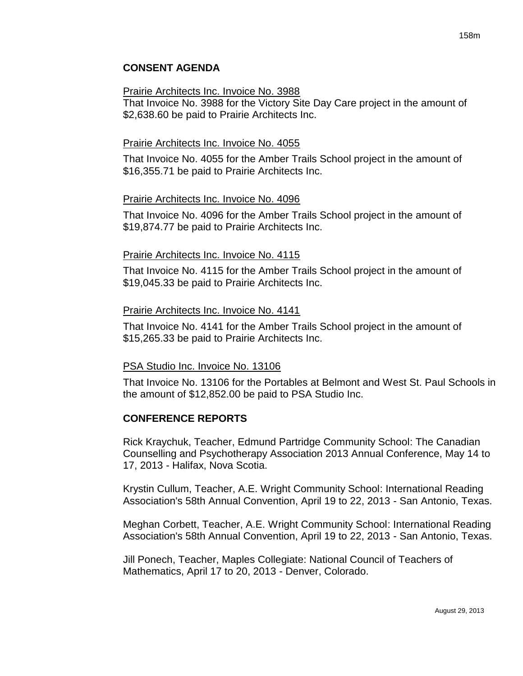#### Prairie Architects Inc. Invoice No. 3988

That Invoice No. 3988 for the Victory Site Day Care project in the amount of \$2,638.60 be paid to Prairie Architects Inc.

## Prairie Architects Inc. Invoice No. 4055

That Invoice No. 4055 for the Amber Trails School project in the amount of \$16,355.71 be paid to Prairie Architects Inc.

## Prairie Architects Inc. Invoice No. 4096

That Invoice No. 4096 for the Amber Trails School project in the amount of \$19,874.77 be paid to Prairie Architects Inc.

#### Prairie Architects Inc. Invoice No. 4115

That Invoice No. 4115 for the Amber Trails School project in the amount of \$19,045.33 be paid to Prairie Architects Inc.

#### Prairie Architects Inc. Invoice No. 4141

That Invoice No. 4141 for the Amber Trails School project in the amount of \$15,265.33 be paid to Prairie Architects Inc.

## PSA Studio Inc. Invoice No. 13106

That Invoice No. 13106 for the Portables at Belmont and West St. Paul Schools in the amount of \$12,852.00 be paid to PSA Studio Inc.

## **CONFERENCE REPORTS**

Rick Kraychuk, Teacher, Edmund Partridge Community School: The Canadian Counselling and Psychotherapy Association 2013 Annual Conference, May 14 to 17, 2013 - Halifax, Nova Scotia.

Krystin Cullum, Teacher, A.E. Wright Community School: International Reading Association's 58th Annual Convention, April 19 to 22, 2013 - San Antonio, Texas.

Meghan Corbett, Teacher, A.E. Wright Community School: International Reading Association's 58th Annual Convention, April 19 to 22, 2013 - San Antonio, Texas.

Jill Ponech, Teacher, Maples Collegiate: National Council of Teachers of Mathematics, April 17 to 20, 2013 - Denver, Colorado.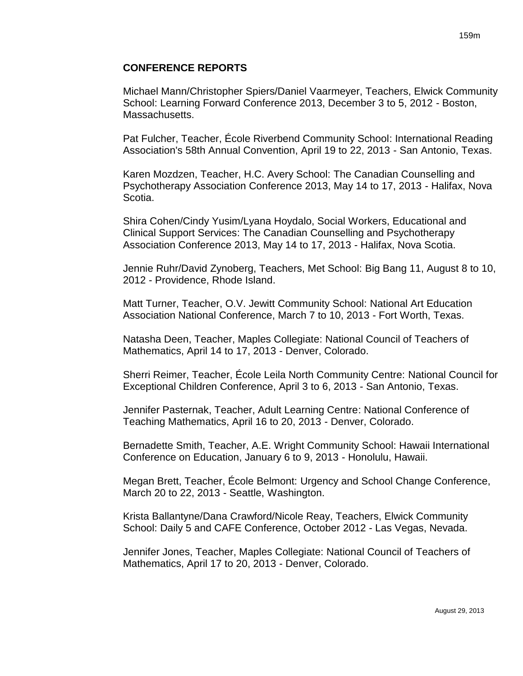#### **CONFERENCE REPORTS**

Michael Mann/Christopher Spiers/Daniel Vaarmeyer, Teachers, Elwick Community School: Learning Forward Conference 2013, December 3 to 5, 2012 - Boston, Massachusetts.

Pat Fulcher, Teacher, École Riverbend Community School: International Reading Association's 58th Annual Convention, April 19 to 22, 2013 - San Antonio, Texas.

Karen Mozdzen, Teacher, H.C. Avery School: The Canadian Counselling and Psychotherapy Association Conference 2013, May 14 to 17, 2013 - Halifax, Nova Scotia.

Shira Cohen/Cindy Yusim/Lyana Hoydalo, Social Workers, Educational and Clinical Support Services: The Canadian Counselling and Psychotherapy Association Conference 2013, May 14 to 17, 2013 - Halifax, Nova Scotia.

Jennie Ruhr/David Zynoberg, Teachers, Met School: Big Bang 11, August 8 to 10, 2012 - Providence, Rhode Island.

Matt Turner, Teacher, O.V. Jewitt Community School: National Art Education Association National Conference, March 7 to 10, 2013 - Fort Worth, Texas.

Natasha Deen, Teacher, Maples Collegiate: National Council of Teachers of Mathematics, April 14 to 17, 2013 - Denver, Colorado.

Sherri Reimer, Teacher, École Leila North Community Centre: National Council for Exceptional Children Conference, April 3 to 6, 2013 - San Antonio, Texas.

Jennifer Pasternak, Teacher, Adult Learning Centre: National Conference of Teaching Mathematics, April 16 to 20, 2013 - Denver, Colorado.

Bernadette Smith, Teacher, A.E. Wright Community School: Hawaii International Conference on Education, January 6 to 9, 2013 - Honolulu, Hawaii.

Megan Brett, Teacher, École Belmont: Urgency and School Change Conference, March 20 to 22, 2013 - Seattle, Washington.

Krista Ballantyne/Dana Crawford/Nicole Reay, Teachers, Elwick Community School: Daily 5 and CAFE Conference, October 2012 - Las Vegas, Nevada.

Jennifer Jones, Teacher, Maples Collegiate: National Council of Teachers of Mathematics, April 17 to 20, 2013 - Denver, Colorado.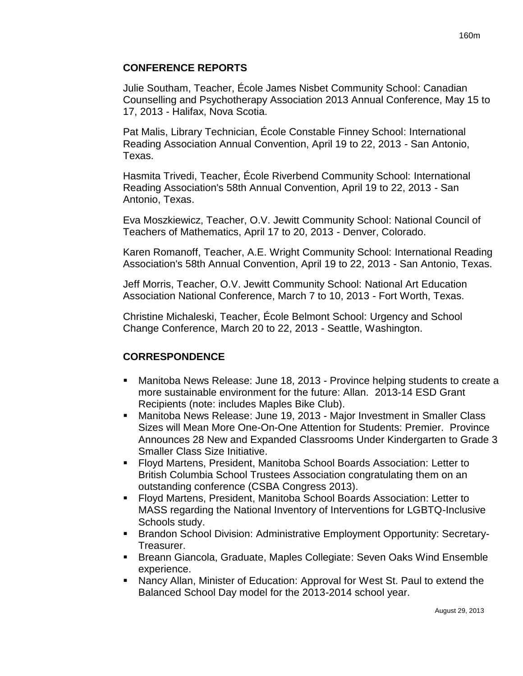## **CONFERENCE REPORTS**

Julie Southam, Teacher, École James Nisbet Community School: Canadian Counselling and Psychotherapy Association 2013 Annual Conference, May 15 to 17, 2013 - Halifax, Nova Scotia.

Pat Malis, Library Technician, École Constable Finney School: International Reading Association Annual Convention, April 19 to 22, 2013 - San Antonio, Texas.

Hasmita Trivedi, Teacher, École Riverbend Community School: International Reading Association's 58th Annual Convention, April 19 to 22, 2013 - San Antonio, Texas.

Eva Moszkiewicz, Teacher, O.V. Jewitt Community School: National Council of Teachers of Mathematics, April 17 to 20, 2013 - Denver, Colorado.

Karen Romanoff, Teacher, A.E. Wright Community School: International Reading Association's 58th Annual Convention, April 19 to 22, 2013 - San Antonio, Texas.

Jeff Morris, Teacher, O.V. Jewitt Community School: National Art Education Association National Conference, March 7 to 10, 2013 - Fort Worth, Texas.

Christine Michaleski, Teacher, École Belmont School: Urgency and School Change Conference, March 20 to 22, 2013 - Seattle, Washington.

# **CORRESPONDENCE**

- Manitoba News Release: June 18, 2013 Province helping students to create a more sustainable environment for the future: Allan. 2013-14 ESD Grant Recipients (note: includes Maples Bike Club).
- Manitoba News Release: June 19, 2013 Major Investment in Smaller Class Sizes will Mean More One-On-One Attention for Students: Premier. Province Announces 28 New and Expanded Classrooms Under Kindergarten to Grade 3 Smaller Class Size Initiative.
- Floyd Martens, President, Manitoba School Boards Association: Letter to British Columbia School Trustees Association congratulating them on an outstanding conference (CSBA Congress 2013).
- Floyd Martens, President, Manitoba School Boards Association: Letter to MASS regarding the National Inventory of Interventions for LGBTQ-Inclusive Schools study.
- Brandon School Division: Administrative Employment Opportunity: Secretary-Treasurer.
- Breann Giancola, Graduate, Maples Collegiate: Seven Oaks Wind Ensemble experience.
- Nancy Allan, Minister of Education: Approval for West St. Paul to extend the Balanced School Day model for the 2013-2014 school year.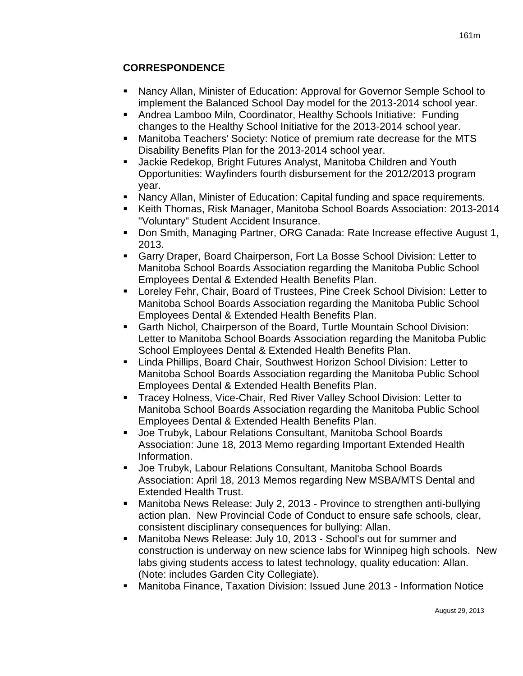# **CORRESPONDENCE**

- Nancy Allan, Minister of Education: Approval for Governor Semple School to implement the Balanced School Day model for the 2013-2014 school year.
- Andrea Lamboo Miln, Coordinator, Healthy Schools Initiative: Funding changes to the Healthy School Initiative for the 2013-2014 school year.
- Manitoba Teachers' Society: Notice of premium rate decrease for the MTS Disability Benefits Plan for the 2013-2014 school year.
- Jackie Redekop, Bright Futures Analyst, Manitoba Children and Youth Opportunities: Wayfinders fourth disbursement for the 2012/2013 program year.
- Nancy Allan, Minister of Education: Capital funding and space requirements.
- Keith Thomas, Risk Manager, Manitoba School Boards Association: 2013-2014 "Voluntary" Student Accident Insurance.
- Don Smith, Managing Partner, ORG Canada: Rate Increase effective August 1, 2013.
- Garry Draper, Board Chairperson, Fort La Bosse School Division: Letter to Manitoba School Boards Association regarding the Manitoba Public School Employees Dental & Extended Health Benefits Plan.
- Loreley Fehr, Chair, Board of Trustees, Pine Creek School Division: Letter to Manitoba School Boards Association regarding the Manitoba Public School Employees Dental & Extended Health Benefits Plan.
- Garth Nichol, Chairperson of the Board, Turtle Mountain School Division: Letter to Manitoba School Boards Association regarding the Manitoba Public School Employees Dental & Extended Health Benefits Plan.
- Linda Phillips, Board Chair, Southwest Horizon School Division: Letter to Manitoba School Boards Association regarding the Manitoba Public School Employees Dental & Extended Health Benefits Plan.
- Tracey Holness, Vice-Chair, Red River Valley School Division: Letter to Manitoba School Boards Association regarding the Manitoba Public School Employees Dental & Extended Health Benefits Plan.
- Joe Trubyk, Labour Relations Consultant, Manitoba School Boards Association: June 18, 2013 Memo regarding Important Extended Health Information.
- Joe Trubyk, Labour Relations Consultant, Manitoba School Boards Association: April 18, 2013 Memos regarding New MSBA/MTS Dental and Extended Health Trust.
- Manitoba News Release: July 2, 2013 Province to strengthen anti-bullying action plan. New Provincial Code of Conduct to ensure safe schools, clear, consistent disciplinary consequences for bullying: Allan.
- Manitoba News Release: July 10, 2013 School's out for summer and construction is underway on new science labs for Winnipeg high schools. New labs giving students access to latest technology, quality education: Allan. (Note: includes Garden City Collegiate).
- Manitoba Finance, Taxation Division: Issued June 2013 Information Notice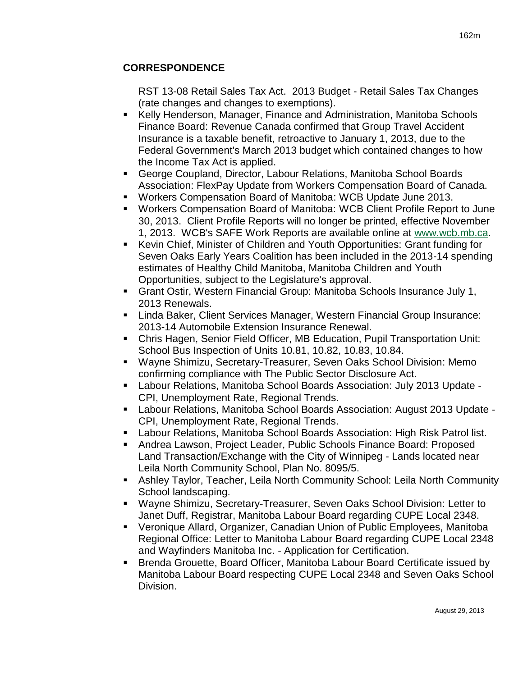# **CORRESPONDENCE**

RST 13-08 Retail Sales Tax Act. 2013 Budget - Retail Sales Tax Changes (rate changes and changes to exemptions).

- Kelly Henderson, Manager, Finance and Administration, Manitoba Schools Finance Board: Revenue Canada confirmed that Group Travel Accident Insurance is a taxable benefit, retroactive to January 1, 2013, due to the Federal Government's March 2013 budget which contained changes to how the Income Tax Act is applied.
- George Coupland, Director, Labour Relations, Manitoba School Boards Association: FlexPay Update from Workers Compensation Board of Canada.
- Workers Compensation Board of Manitoba: WCB Update June 2013.
- Workers Compensation Board of Manitoba: WCB Client Profile Report to June 30, 2013. Client Profile Reports will no longer be printed, effective November 1, 2013. WCB's SAFE Work Reports are available online at [www.wcb.mb.ca.](http://www.wcb.mb.ca/)
- Kevin Chief, Minister of Children and Youth Opportunities: Grant funding for Seven Oaks Early Years Coalition has been included in the 2013-14 spending estimates of Healthy Child Manitoba, Manitoba Children and Youth Opportunities, subject to the Legislature's approval.
- Grant Ostir, Western Financial Group: Manitoba Schools Insurance July 1, 2013 Renewals.
- Linda Baker, Client Services Manager, Western Financial Group Insurance: 2013-14 Automobile Extension Insurance Renewal.
- Chris Hagen, Senior Field Officer, MB Education, Pupil Transportation Unit: School Bus Inspection of Units 10.81, 10.82, 10.83, 10.84.
- Wayne Shimizu, Secretary-Treasurer, Seven Oaks School Division: Memo confirming compliance with The Public Sector Disclosure Act.
- Labour Relations, Manitoba School Boards Association: July 2013 Update CPI, Unemployment Rate, Regional Trends.
- Labour Relations, Manitoba School Boards Association: August 2013 Update CPI, Unemployment Rate, Regional Trends.
- Labour Relations, Manitoba School Boards Association: High Risk Patrol list.
- Andrea Lawson, Project Leader, Public Schools Finance Board: Proposed Land Transaction/Exchange with the City of Winnipeg - Lands located near Leila North Community School, Plan No. 8095/5.
- Ashley Taylor, Teacher, Leila North Community School: Leila North Community School landscaping.
- Wayne Shimizu, Secretary-Treasurer, Seven Oaks School Division: Letter to Janet Duff, Registrar, Manitoba Labour Board regarding CUPE Local 2348.
- Veronique Allard, Organizer, Canadian Union of Public Employees, Manitoba Regional Office: Letter to Manitoba Labour Board regarding CUPE Local 2348 and Wayfinders Manitoba Inc. - Application for Certification.
- Brenda Grouette, Board Officer, Manitoba Labour Board Certificate issued by Manitoba Labour Board respecting CUPE Local 2348 and Seven Oaks School Division.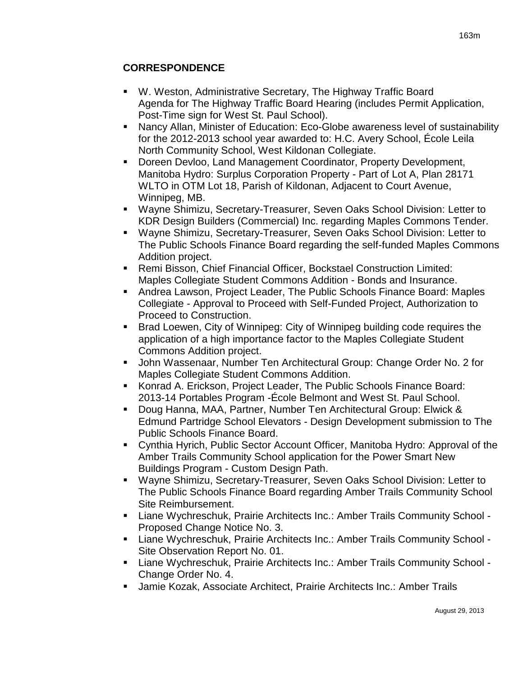# **CORRESPONDENCE**

- W. Weston, Administrative Secretary, The Highway Traffic Board Agenda for The Highway Traffic Board Hearing (includes Permit Application, Post-Time sign for West St. Paul School).
- Nancy Allan, Minister of Education: Eco-Globe awareness level of sustainability for the 2012-2013 school year awarded to: H.C. Avery School, École Leila North Community School, West Kildonan Collegiate.
- Doreen Devloo, Land Management Coordinator, Property Development, Manitoba Hydro: Surplus Corporation Property - Part of Lot A, Plan 28171 WLTO in OTM Lot 18, Parish of Kildonan, Adjacent to Court Avenue, Winnipeg, MB.
- Wayne Shimizu, Secretary-Treasurer, Seven Oaks School Division: Letter to KDR Design Builders (Commercial) Inc. regarding Maples Commons Tender.
- Wayne Shimizu, Secretary-Treasurer, Seven Oaks School Division: Letter to The Public Schools Finance Board regarding the self-funded Maples Commons Addition project.
- Remi Bisson, Chief Financial Officer, Bockstael Construction Limited: Maples Collegiate Student Commons Addition - Bonds and Insurance.
- Andrea Lawson, Project Leader, The Public Schools Finance Board: Maples Collegiate - Approval to Proceed with Self-Funded Project, Authorization to Proceed to Construction.
- Brad Loewen, City of Winnipeg: City of Winnipeg building code requires the application of a high importance factor to the Maples Collegiate Student Commons Addition project.
- John Wassenaar, Number Ten Architectural Group: Change Order No. 2 for Maples Collegiate Student Commons Addition.
- Konrad A. Erickson, Project Leader, The Public Schools Finance Board: 2013-14 Portables Program -École Belmont and West St. Paul School.
- Doug Hanna, MAA, Partner, Number Ten Architectural Group: Elwick & Edmund Partridge School Elevators - Design Development submission to The Public Schools Finance Board.
- Cynthia Hyrich, Public Sector Account Officer, Manitoba Hydro: Approval of the Amber Trails Community School application for the Power Smart New Buildings Program - Custom Design Path.
- Wayne Shimizu, Secretary-Treasurer, Seven Oaks School Division: Letter to The Public Schools Finance Board regarding Amber Trails Community School Site Reimbursement.
- Liane Wychreschuk, Prairie Architects Inc.: Amber Trails Community School Proposed Change Notice No. 3.
- Liane Wychreschuk, Prairie Architects Inc.: Amber Trails Community School Site Observation Report No. 01.
- Liane Wychreschuk, Prairie Architects Inc.: Amber Trails Community School Change Order No. 4.
- Jamie Kozak, Associate Architect, Prairie Architects Inc.: Amber Trails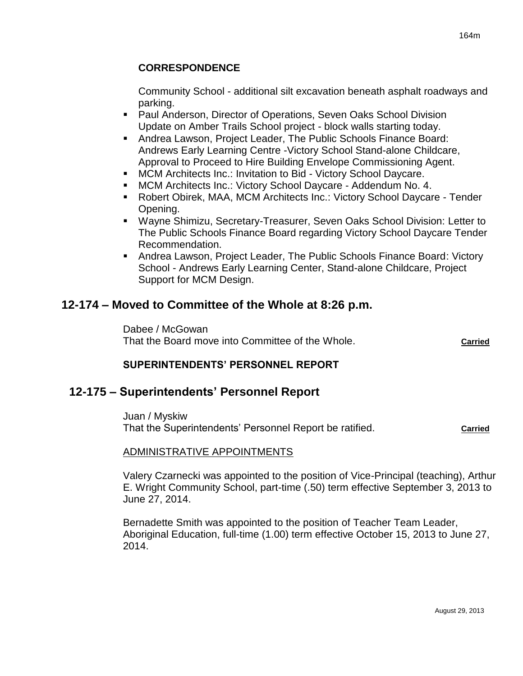Community School - additional silt excavation beneath asphalt roadways and parking.

- Paul Anderson, Director of Operations, Seven Oaks School Division Update on Amber Trails School project - block walls starting today.
- Andrea Lawson, Project Leader, The Public Schools Finance Board: Andrews Early Learning Centre -Victory School Stand-alone Childcare, Approval to Proceed to Hire Building Envelope Commissioning Agent.
- **MCM Architects Inc.: Invitation to Bid Victory School Daycare.**
- MCM Architects Inc.: Victory School Daycare Addendum No. 4.
- Robert Obirek, MAA, MCM Architects Inc.: Victory School Daycare Tender Opening.
- Wayne Shimizu, Secretary-Treasurer, Seven Oaks School Division: Letter to The Public Schools Finance Board regarding Victory School Daycare Tender Recommendation.
- Andrea Lawson, Project Leader, The Public Schools Finance Board: Victory School - Andrews Early Learning Center, Stand-alone Childcare, Project Support for MCM Design.

# **12-174 – Moved to Committee of the Whole at 8:26 p.m.**

Dabee / McGowan That the Board move into Committee of the Whole. **Carried**

# **SUPERINTENDENTS' PERSONNEL REPORT**

# **12-175 – Superintendents' Personnel Report**

Juan / Myskiw That the Superintendents' Personnel Report be ratified. **Carried**

# ADMINISTRATIVE APPOINTMENTS

Valery Czarnecki was appointed to the position of Vice-Principal (teaching), Arthur E. Wright Community School, part-time (.50) term effective September 3, 2013 to June 27, 2014.

Bernadette Smith was appointed to the position of Teacher Team Leader, Aboriginal Education, full-time (1.00) term effective October 15, 2013 to June 27, 2014.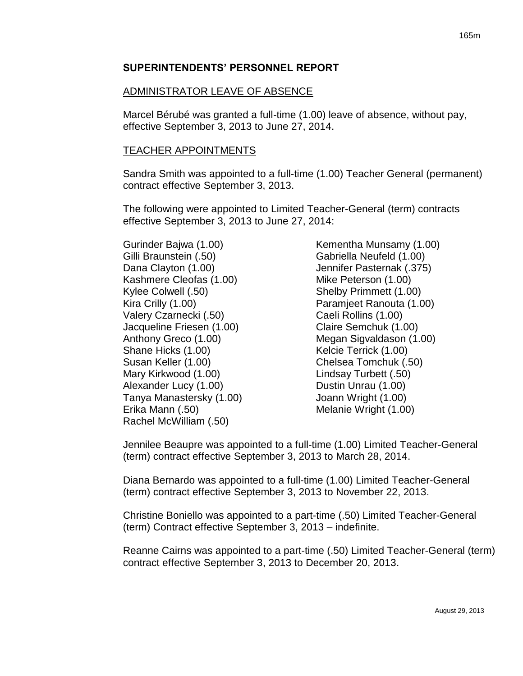# ADMINISTRATOR LEAVE OF ABSENCE

Marcel Bérubé was granted a full-time (1.00) leave of absence, without pay, effective September 3, 2013 to June 27, 2014.

# TEACHER APPOINTMENTS

Sandra Smith was appointed to a full-time (1.00) Teacher General (permanent) contract effective September 3, 2013.

The following were appointed to Limited Teacher-General (term) contracts effective September 3, 2013 to June 27, 2014:

Gurinder Bajwa (1.00) Gilli Braunstein (.50) Dana Clayton (1.00) Kashmere Cleofas (1.00) Kylee Colwell (.50) Kira Crilly (1.00) Valery Czarnecki (.50) Jacqueline Friesen (1.00) Anthony Greco (1.00) Shane Hicks (1.00) Susan Keller (1.00) Mary Kirkwood (1.00) Alexander Lucy (1.00) Tanya Manastersky (1.00) Erika Mann (.50) Rachel McWilliam (.50)

Kementha Munsamy (1.00) Gabriella Neufeld (1.00) Jennifer Pasternak (.375) Mike Peterson (1.00) Shelby Primmett (1.00) Paramjeet Ranouta (1.00) Caeli Rollins (1.00) Claire Semchuk (1.00) Megan Sigvaldason (1.00) Kelcie Terrick (1.00) Chelsea Tomchuk (.50) Lindsay Turbett (.50) Dustin Unrau (1.00) Joann Wright (1.00) Melanie Wright (1.00)

Jennilee Beaupre was appointed to a full-time (1.00) Limited Teacher-General (term) contract effective September 3, 2013 to March 28, 2014.

Diana Bernardo was appointed to a full-time (1.00) Limited Teacher-General (term) contract effective September 3, 2013 to November 22, 2013.

Christine Boniello was appointed to a part-time (.50) Limited Teacher-General (term) Contract effective September 3, 2013 – indefinite.

Reanne Cairns was appointed to a part-time (.50) Limited Teacher-General (term) contract effective September 3, 2013 to December 20, 2013.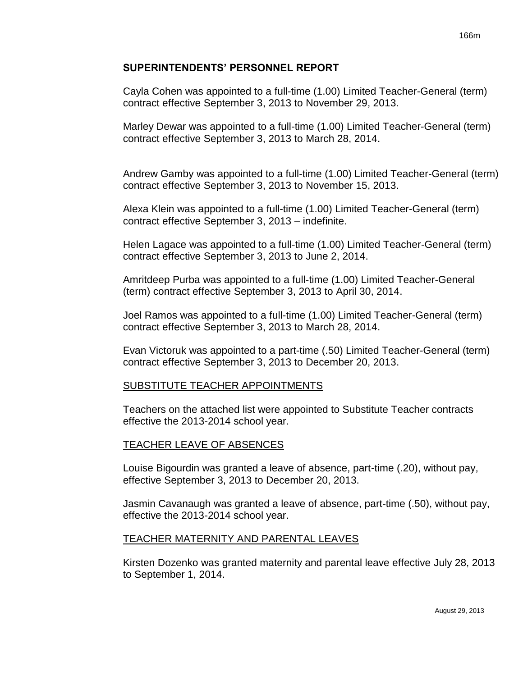Cayla Cohen was appointed to a full-time (1.00) Limited Teacher-General (term) contract effective September 3, 2013 to November 29, 2013.

Marley Dewar was appointed to a full-time (1.00) Limited Teacher-General (term) contract effective September 3, 2013 to March 28, 2014.

Andrew Gamby was appointed to a full-time (1.00) Limited Teacher-General (term) contract effective September 3, 2013 to November 15, 2013.

Alexa Klein was appointed to a full-time (1.00) Limited Teacher-General (term) contract effective September 3, 2013 – indefinite.

Helen Lagace was appointed to a full-time (1.00) Limited Teacher-General (term) contract effective September 3, 2013 to June 2, 2014.

Amritdeep Purba was appointed to a full-time (1.00) Limited Teacher-General (term) contract effective September 3, 2013 to April 30, 2014.

Joel Ramos was appointed to a full-time (1.00) Limited Teacher-General (term) contract effective September 3, 2013 to March 28, 2014.

Evan Victoruk was appointed to a part-time (.50) Limited Teacher-General (term) contract effective September 3, 2013 to December 20, 2013.

# SUBSTITUTE TEACHER APPOINTMENTS

Teachers on the attached list were appointed to Substitute Teacher contracts effective the 2013-2014 school year.

## TEACHER LEAVE OF ABSENCES

Louise Bigourdin was granted a leave of absence, part-time (.20), without pay, effective September 3, 2013 to December 20, 2013.

Jasmin Cavanaugh was granted a leave of absence, part-time (.50), without pay, effective the 2013-2014 school year.

## TEACHER MATERNITY AND PARENTAL LEAVES

Kirsten Dozenko was granted maternity and parental leave effective July 28, 2013 to September 1, 2014.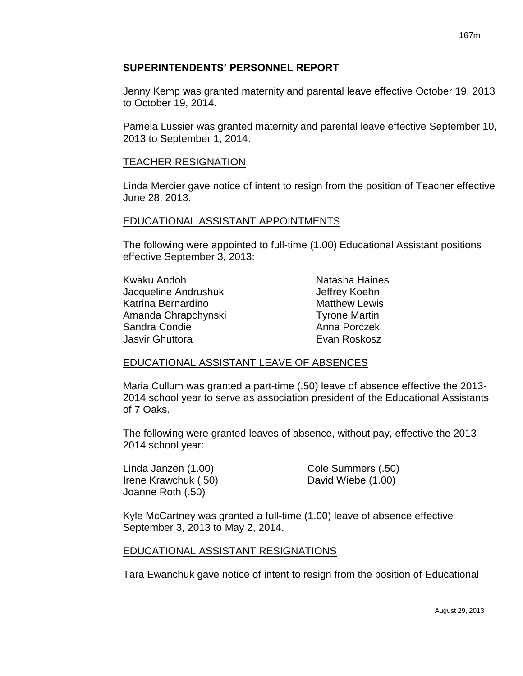Jenny Kemp was granted maternity and parental leave effective October 19, 2013 to October 19, 2014.

Pamela Lussier was granted maternity and parental leave effective September 10, 2013 to September 1, 2014.

#### TEACHER RESIGNATION

Linda Mercier gave notice of intent to resign from the position of Teacher effective June 28, 2013.

#### EDUCATIONAL ASSISTANT APPOINTMENTS

The following were appointed to full-time (1.00) Educational Assistant positions effective September 3, 2013:

| Kwaku Andoh          | Natasha Haines       |
|----------------------|----------------------|
| Jacqueline Andrushuk | Jeffrey Koehn        |
| Katrina Bernardino   | <b>Matthew Lewis</b> |
| Amanda Chrapchynski  | <b>Tyrone Martin</b> |
| Sandra Condie        | Anna Porczek         |
| Jasvir Ghuttora      | Evan Roskosz         |

## EDUCATIONAL ASSISTANT LEAVE OF ABSENCES

Maria Cullum was granted a part-time (.50) leave of absence effective the 2013- 2014 school year to serve as association president of the Educational Assistants of 7 Oaks.

The following were granted leaves of absence, without pay, effective the 2013- 2014 school year:

Irene Krawchuk (.50) David Wiebe (1.00) Joanne Roth (.50)

Linda Janzen (1.00) Cole Summers (.50)

Kyle McCartney was granted a full-time (1.00) leave of absence effective September 3, 2013 to May 2, 2014.

## EDUCATIONAL ASSISTANT RESIGNATIONS

Tara Ewanchuk gave notice of intent to resign from the position of Educational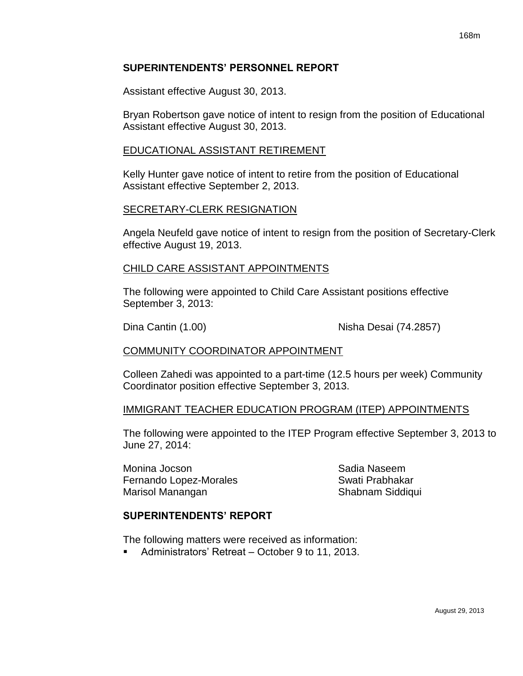Assistant effective August 30, 2013.

Bryan Robertson gave notice of intent to resign from the position of Educational Assistant effective August 30, 2013.

#### EDUCATIONAL ASSISTANT RETIREMENT

Kelly Hunter gave notice of intent to retire from the position of Educational Assistant effective September 2, 2013.

#### SECRETARY-CLERK RESIGNATION

Angela Neufeld gave notice of intent to resign from the position of Secretary-Clerk effective August 19, 2013.

#### CHILD CARE ASSISTANT APPOINTMENTS

The following were appointed to Child Care Assistant positions effective September 3, 2013:

Dina Cantin (1.00) Nisha Desai (74.2857)

## COMMUNITY COORDINATOR APPOINTMENT

Colleen Zahedi was appointed to a part-time (12.5 hours per week) Community Coordinator position effective September 3, 2013.

#### IMMIGRANT TEACHER EDUCATION PROGRAM (ITEP) APPOINTMENTS

The following were appointed to the ITEP Program effective September 3, 2013 to June 27, 2014:

Monina Jocson Sadia Naseem Fernando Lopez-Morales Swati Prabhakar Marisol Manangan Shabnam Siddiqui

## **SUPERINTENDENTS' REPORT**

The following matters were received as information:

■ Administrators' Retreat – October 9 to 11, 2013.